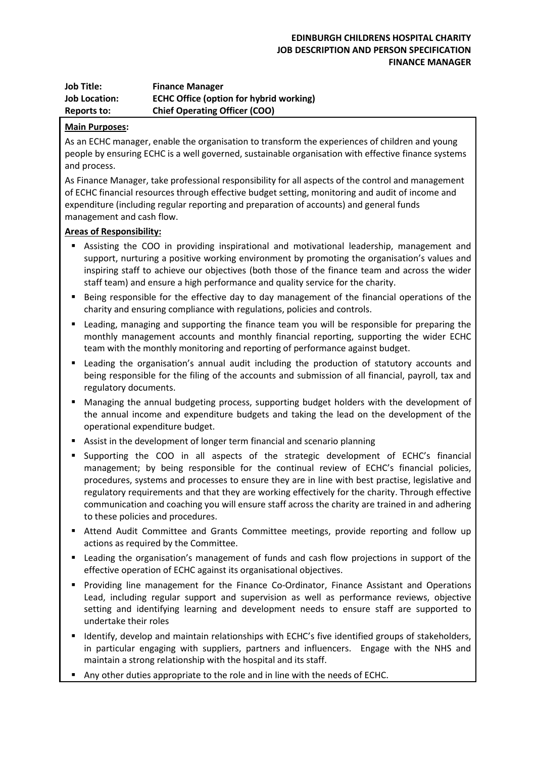| <b>Job Title:</b>    | <b>Finance Manager</b>                         |
|----------------------|------------------------------------------------|
| <b>Job Location:</b> | <b>ECHC Office (option for hybrid working)</b> |
| Reports to:          | <b>Chief Operating Officer (COO)</b>           |

## **Main Purposes:**

As an ECHC manager, enable the organisation to transform the experiences of children and young people by ensuring ECHC is a well governed, sustainable organisation with effective finance systems and process.

As Finance Manager, take professional responsibility for all aspects of the control and management of ECHC financial resources through effective budget setting, monitoring and audit of income and expenditure (including regular reporting and preparation of accounts) and general funds management and cash flow.

## **Areas of Responsibility:**

- Assisting the COO in providing inspirational and motivational leadership, management and support, nurturing a positive working environment by promoting the organisation's values and inspiring staff to achieve our objectives (both those of the finance team and across the wider staff team) and ensure a high performance and quality service for the charity.
- Being responsible for the effective day to day management of the financial operations of the charity and ensuring compliance with regulations, policies and controls.
- Leading, managing and supporting the finance team you will be responsible for preparing the monthly management accounts and monthly financial reporting, supporting the wider ECHC team with the monthly monitoring and reporting of performance against budget.
- Leading the organisation's annual audit including the production of statutory accounts and being responsible for the filing of the accounts and submission of all financial, payroll, tax and regulatory documents.
- Managing the annual budgeting process, supporting budget holders with the development of the annual income and expenditure budgets and taking the lead on the development of the operational expenditure budget.
- Assist in the development of longer term financial and scenario planning
- Supporting the COO in all aspects of the strategic development of ECHC's financial management; by being responsible for the continual review of ECHC's financial policies, procedures, systems and processes to ensure they are in line with best practise, legislative and regulatory requirements and that they are working effectively for the charity. Through effective communication and coaching you will ensure staff across the charity are trained in and adhering to these policies and procedures.
- Attend Audit Committee and Grants Committee meetings, provide reporting and follow up actions as required by the Committee.
- Leading the organisation's management of funds and cash flow projections in support of the effective operation of ECHC against its organisational objectives.
- Providing line management for the Finance Co-Ordinator, Finance Assistant and Operations Lead, including regular support and supervision as well as performance reviews, objective setting and identifying learning and development needs to ensure staff are supported to undertake their roles
- Identify, develop and maintain relationships with ECHC's five identified groups of stakeholders, in particular engaging with suppliers, partners and influencers. Engage with the NHS and maintain a strong relationship with the hospital and its staff.
- Any other duties appropriate to the role and in line with the needs of ECHC.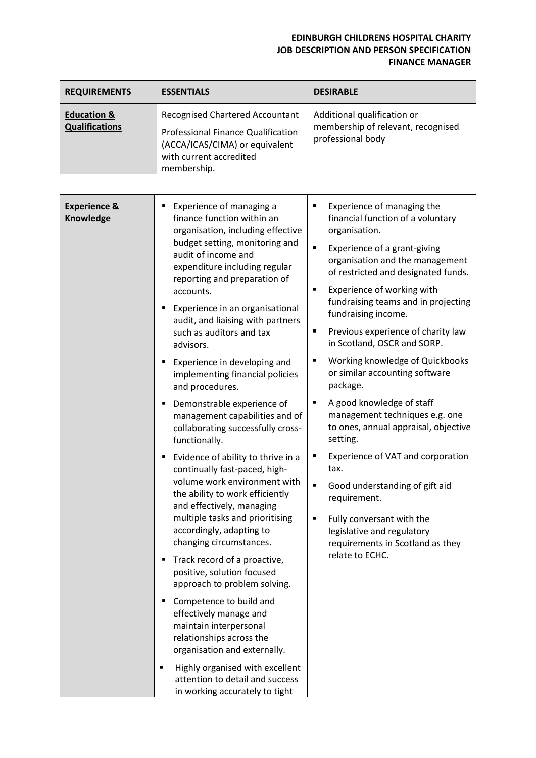## **EDINBURGH CHILDRENS HOSPITAL CHARITY JOB DESCRIPTION AND PERSON SPECIFICATION FINANCE MANAGER**

| <b>REQUIREMENTS</b>                             | <b>ESSENTIALS</b>                                                                                                                                                                                                                                                                                                                                                                                                                                                                                                                                                                                                                                                                                                                                                                                                                                                                                                                                                                                                                                                                                                                                                                           | <b>DESIRABLE</b>                                                                                                                                                                                                                                                                                                                                                                                                                                                                                                                                                                                                                                                                                                                                                                                          |
|-------------------------------------------------|---------------------------------------------------------------------------------------------------------------------------------------------------------------------------------------------------------------------------------------------------------------------------------------------------------------------------------------------------------------------------------------------------------------------------------------------------------------------------------------------------------------------------------------------------------------------------------------------------------------------------------------------------------------------------------------------------------------------------------------------------------------------------------------------------------------------------------------------------------------------------------------------------------------------------------------------------------------------------------------------------------------------------------------------------------------------------------------------------------------------------------------------------------------------------------------------|-----------------------------------------------------------------------------------------------------------------------------------------------------------------------------------------------------------------------------------------------------------------------------------------------------------------------------------------------------------------------------------------------------------------------------------------------------------------------------------------------------------------------------------------------------------------------------------------------------------------------------------------------------------------------------------------------------------------------------------------------------------------------------------------------------------|
| <b>Education &amp;</b><br><b>Qualifications</b> | <b>Recognised Chartered Accountant</b><br><b>Professional Finance Qualification</b><br>(ACCA/ICAS/CIMA) or equivalent<br>with current accredited<br>membership.                                                                                                                                                                                                                                                                                                                                                                                                                                                                                                                                                                                                                                                                                                                                                                                                                                                                                                                                                                                                                             | Additional qualification or<br>membership of relevant, recognised<br>professional body                                                                                                                                                                                                                                                                                                                                                                                                                                                                                                                                                                                                                                                                                                                    |
|                                                 |                                                                                                                                                                                                                                                                                                                                                                                                                                                                                                                                                                                                                                                                                                                                                                                                                                                                                                                                                                                                                                                                                                                                                                                             |                                                                                                                                                                                                                                                                                                                                                                                                                                                                                                                                                                                                                                                                                                                                                                                                           |
| <b>Experience &amp;</b><br><b>Knowledge</b>     | Experience of managing a<br>finance function within an<br>organisation, including effective<br>budget setting, monitoring and<br>audit of income and<br>expenditure including regular<br>reporting and preparation of<br>accounts.<br>Experience in an organisational<br>audit, and liaising with partners<br>such as auditors and tax<br>advisors.<br>Experience in developing and<br>implementing financial policies<br>and procedures.<br>Demonstrable experience of<br>management capabilities and of<br>collaborating successfully cross-<br>functionally.<br>Evidence of ability to thrive in a<br>continually fast-paced, high-<br>volume work environment with<br>the ability to work efficiently<br>and effectively, managing<br>multiple tasks and prioritising<br>accordingly, adapting to<br>changing circumstances.<br>Track record of a proactive,<br>п<br>positive, solution focused<br>approach to problem solving.<br>Competence to build and<br>effectively manage and<br>maintain interpersonal<br>relationships across the<br>organisation and externally.<br>Highly organised with excellent<br>٠<br>attention to detail and success<br>in working accurately to tight | Experience of managing the<br>٠<br>financial function of a voluntary<br>organisation.<br>Experience of a grant-giving<br>٠<br>organisation and the management<br>of restricted and designated funds.<br>Experience of working with<br>٠<br>fundraising teams and in projecting<br>fundraising income.<br>Previous experience of charity law<br>٠<br>in Scotland, OSCR and SORP.<br>Working knowledge of Quickbooks<br>or similar accounting software<br>package.<br>A good knowledge of staff<br>٠<br>management techniques e.g. one<br>to ones, annual appraisal, objective<br>setting.<br>Experience of VAT and corporation<br>tax.<br>Good understanding of gift aid<br>requirement.<br>Fully conversant with the<br>legislative and regulatory<br>requirements in Scotland as they<br>relate to ECHC. |